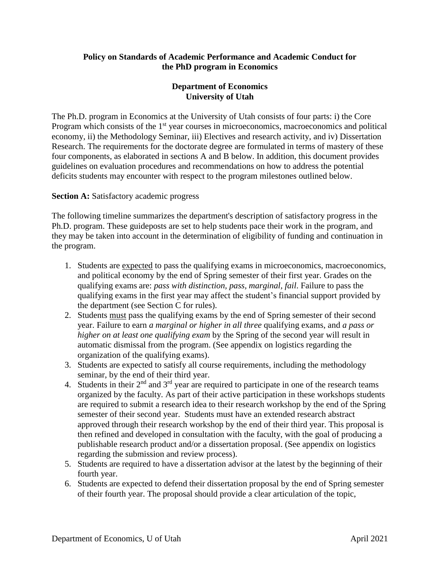## **Policy on Standards of Academic Performance and Academic Conduct for the PhD program in Economics**

## **Department of Economics University of Utah**

The Ph.D. program in Economics at the University of Utah consists of four parts: i) the Core Program which consists of the 1<sup>st</sup> year courses in microeconomics, macroeconomics and political economy, ii) the Methodology Seminar, iii) Electives and research activity, and iv) Dissertation Research. The requirements for the doctorate degree are formulated in terms of mastery of these four components, as elaborated in sections A and B below. In addition, this document provides guidelines on evaluation procedures and recommendations on how to address the potential deficits students may encounter with respect to the program milestones outlined below.

#### **Section A:** Satisfactory academic progress

The following timeline summarizes the department's description of satisfactory progress in the Ph.D. program. These guideposts are set to help students pace their work in the program, and they may be taken into account in the determination of eligibility of funding and continuation in the program.

- 1. Students are expected to pass the qualifying exams in microeconomics, macroeconomics, and political economy by the end of Spring semester of their first year. Grades on the qualifying exams are: *pass with distinction, pass, marginal, fail*. Failure to pass the qualifying exams in the first year may affect the student's financial support provided by the department (see Section C for rules).
- 2. Students must pass the qualifying exams by the end of Spring semester of their second year. Failure to earn *a marginal or higher in all three* qualifying exams, and *a pass or higher on at least one qualifying exam* by the Spring of the second year will result in automatic dismissal from the program. (See appendix on logistics regarding the organization of the qualifying exams).
- 3. Students are expected to satisfy all course requirements, including the methodology seminar, by the end of their third year.
- 4. Students in their  $2<sup>nd</sup>$  and  $3<sup>rd</sup>$  year are required to participate in one of the research teams organized by the faculty. As part of their active participation in these workshops students are required to submit a research idea to their research workshop by the end of the Spring semester of their second year. Students must have an extended research abstract approved through their research workshop by the end of their third year. This proposal is then refined and developed in consultation with the faculty, with the goal of producing a publishable research product and/or a dissertation proposal. (See appendix on logistics regarding the submission and review process).
- 5. Students are required to have a dissertation advisor at the latest by the beginning of their fourth year.
- 6. Students are expected to defend their dissertation proposal by the end of Spring semester of their fourth year. The proposal should provide a clear articulation of the topic,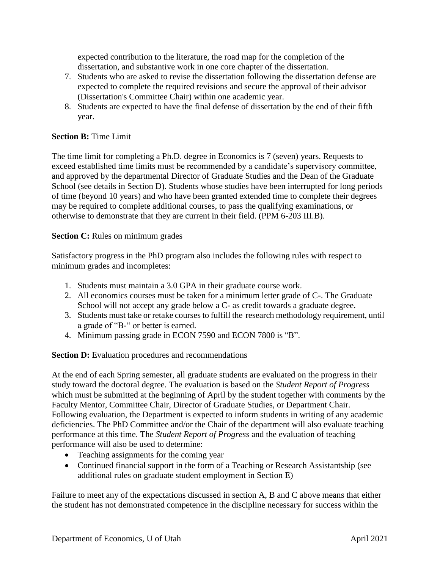expected contribution to the literature, the road map for the completion of the dissertation, and substantive work in one core chapter of the dissertation.

- 7. Students who are asked to revise the dissertation following the dissertation defense are expected to complete the required revisions and secure the approval of their advisor (Dissertation's Committee Chair) within one academic year.
- 8. Students are expected to have the final defense of dissertation by the end of their fifth year.

## **Section B:** Time Limit

The time limit for completing a Ph.D. degree in Economics is 7 (seven) years. Requests to exceed established time limits must be recommended by a candidate's supervisory committee, and approved by the departmental Director of Graduate Studies and the Dean of the Graduate School (see details in Section D). Students whose studies have been interrupted for long periods of time (beyond 10 years) and who have been granted extended time to complete their degrees may be required to complete additional courses, to pass the qualifying examinations, or otherwise to demonstrate that they are current in their field. (PPM 6-203 III.B).

#### **Section C:** Rules on minimum grades

Satisfactory progress in the PhD program also includes the following rules with respect to minimum grades and incompletes:

- 1. Students must maintain a 3.0 GPA in their graduate course work.
- 2. All economics courses must be taken for a minimum letter grade of C-. The Graduate School will not accept any grade below a C- as credit towards a graduate degree.
- 3. Students must take or retake courses to fulfill the research methodology requirement, until a grade of "B-" or better is earned.
- 4. Minimum passing grade in ECON 7590 and ECON 7800 is "B".

**Section D:** Evaluation procedures and recommendations

At the end of each Spring semester, all graduate students are evaluated on the progress in their study toward the doctoral degree. The evaluation is based on the *Student Report of Progress* which must be submitted at the beginning of April by the student together with comments by the Faculty Mentor, Committee Chair, Director of Graduate Studies, or Department Chair. Following evaluation, the Department is expected to inform students in writing of any academic deficiencies. The PhD Committee and/or the Chair of the department will also evaluate teaching performance at this time. The *Student Report of Progress* and the evaluation of teaching performance will also be used to determine:

- Teaching assignments for the coming year
- Continued financial support in the form of a Teaching or Research Assistantship (see additional rules on graduate student employment in Section E)

Failure to meet any of the expectations discussed in section A, B and C above means that either the student has not demonstrated competence in the discipline necessary for success within the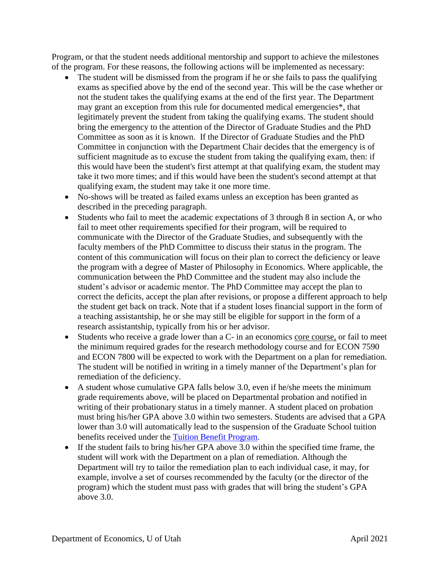Program, or that the student needs additional mentorship and support to achieve the milestones of the program. For these reasons, the following actions will be implemented as necessary:

- The student will be dismissed from the program if he or she fails to pass the qualifying exams as specified above by the end of the second year. This will be the case whether or not the student takes the qualifying exams at the end of the first year. The Department may grant an exception from this rule for documented medical emergencies\*, that legitimately prevent the student from taking the qualifying exams. The student should bring the emergency to the attention of the Director of Graduate Studies and the PhD Committee as soon as it is known. If the Director of Graduate Studies and the PhD Committee in conjunction with the Department Chair decides that the emergency is of sufficient magnitude as to excuse the student from taking the qualifying exam, then: if this would have been the student's first attempt at that qualifying exam, the student may take it two more times; and if this would have been the student's second attempt at that qualifying exam, the student may take it one more time.
- No-shows will be treated as failed exams unless an exception has been granted as described in the preceding paragraph.
- Students who fail to meet the academic expectations of 3 through 8 in section A, or who fail to meet other requirements specified for their program, will be required to communicate with the Director of the Graduate Studies, and subsequently with the faculty members of the PhD Committee to discuss their status in the program. The content of this communication will focus on their plan to correct the deficiency or leave the program with a degree of Master of Philosophy in Economics. Where applicable, the communication between the PhD Committee and the student may also include the student's advisor or academic mentor. The PhD Committee may accept the plan to correct the deficits, accept the plan after revisions, or propose a different approach to help the student get back on track. Note that if a student loses financial support in the form of a teaching assistantship, he or she may still be eligible for support in the form of a research assistantship, typically from his or her advisor.
- Students who receive a grade lower than a C- in an economics core course, or fail to meet the minimum required grades for the research methodology course and for ECON 7590 and ECON 7800 will be expected to work with the Department on a plan for remediation. The student will be notified in writing in a timely manner of the Department's plan for remediation of the deficiency.
- A student whose cumulative GPA falls below 3.0, even if he/she meets the minimum grade requirements above, will be placed on Departmental probation and notified in writing of their probationary status in a timely manner. A student placed on probation must bring his/her GPA above 3.0 within two semesters. Students are advised that a GPA lower than 3.0 will automatically lead to the suspension of the Graduate School tuition benefits received under the [Tuition Benefit Program.](http://gradschool.utah.edu/tbp/tuition-benefit-program-guidelines/)
- If the student fails to bring his/her GPA above 3.0 within the specified time frame, the student will work with the Department on a plan of remediation. Although the Department will try to tailor the remediation plan to each individual case, it may, for example, involve a set of courses recommended by the faculty (or the director of the program) which the student must pass with grades that will bring the student's GPA above 3.0.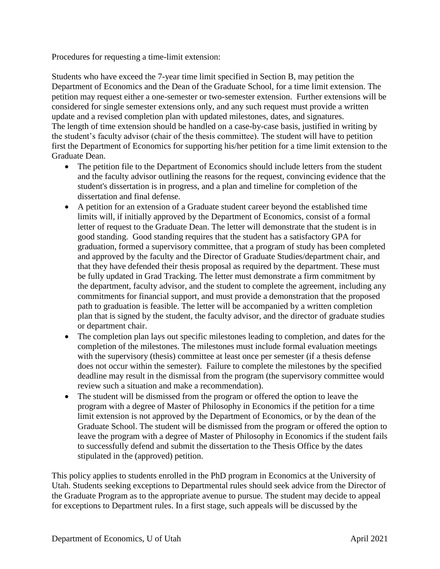Procedures for requesting a time-limit extension:

Students who have exceed the 7-year time limit specified in Section B, may petition the Department of Economics and the Dean of the Graduate School, for a time limit extension. The petition may request either a one-semester or two-semester extension. Further extensions will be considered for single semester extensions only, and any such request must provide a written update and a revised completion plan with updated milestones, dates, and signatures. The length of time extension should be handled on a case-by-case basis, justified in writing by the student's faculty advisor (chair of the thesis committee). The student will have to petition first the Department of Economics for supporting his/her petition for a time limit extension to the Graduate Dean.

- The petition file to the Department of Economics should include letters from the student and the faculty advisor outlining the reasons for the request, convincing evidence that the student's dissertation is in progress, and a plan and timeline for completion of the dissertation and final defense.
- A petition for an extension of a Graduate student career beyond the established time limits will, if initially approved by the Department of Economics, consist of a formal letter of request to the Graduate Dean. The letter will demonstrate that the student is in good standing. Good standing requires that the student has a satisfactory GPA for graduation, formed a supervisory committee, that a program of study has been completed and approved by the faculty and the Director of Graduate Studies/department chair, and that they have defended their thesis proposal as required by the department. These must be fully updated in Grad Tracking. The letter must demonstrate a firm commitment by the department, faculty advisor, and the student to complete the agreement, including any commitments for financial support, and must provide a demonstration that the proposed path to graduation is feasible. The letter will be accompanied by a written completion plan that is signed by the student, the faculty advisor, and the director of graduate studies or department chair.
- The completion plan lays out specific milestones leading to completion, and dates for the completion of the milestones. The milestones must include formal evaluation meetings with the supervisory (thesis) committee at least once per semester (if a thesis defense does not occur within the semester). Failure to complete the milestones by the specified deadline may result in the dismissal from the program (the supervisory committee would review such a situation and make a recommendation).
- The student will be dismissed from the program or offered the option to leave the program with a degree of Master of Philosophy in Economics if the petition for a time limit extension is not approved by the Department of Economics, or by the dean of the Graduate School. The student will be dismissed from the program or offered the option to leave the program with a degree of Master of Philosophy in Economics if the student fails to successfully defend and submit the dissertation to the Thesis Office by the dates stipulated in the (approved) petition.

This policy applies to students enrolled in the PhD program in Economics at the University of Utah. Students seeking exceptions to Departmental rules should seek advice from the Director of the Graduate Program as to the appropriate avenue to pursue. The student may decide to appeal for exceptions to Department rules. In a first stage, such appeals will be discussed by the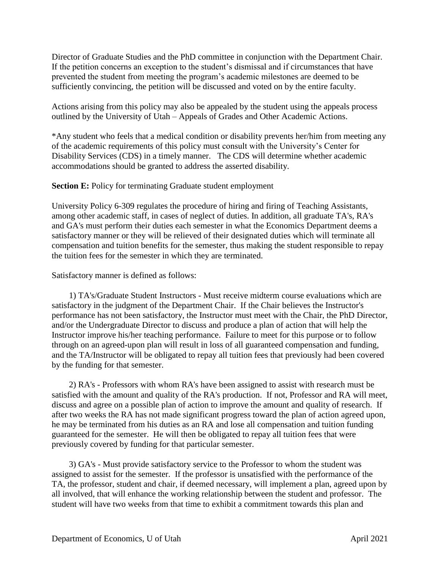Director of Graduate Studies and the PhD committee in conjunction with the Department Chair. If the petition concerns an exception to the student's dismissal and if circumstances that have prevented the student from meeting the program's academic milestones are deemed to be sufficiently convincing, the petition will be discussed and voted on by the entire faculty.

Actions arising from this policy may also be appealed by the student using the appeals process outlined by the University of Utah – Appeals of Grades and Other Academic Actions.

\*Any student who feels that a medical condition or disability prevents her/him from meeting any of the academic requirements of this policy must consult with the University's Center for Disability Services (CDS) in a timely manner. The CDS will determine whether academic accommodations should be granted to address the asserted disability.

## **Section E:** Policy for terminating Graduate student employment

University Policy 6-309 regulates the procedure of hiring and firing of Teaching Assistants, among other academic staff, in cases of neglect of duties. In addition, all graduate TA's, RA's and GA's must perform their duties each semester in what the Economics Department deems a satisfactory manner or they will be relieved of their designated duties which will terminate all compensation and tuition benefits for the semester, thus making the student responsible to repay the tuition fees for the semester in which they are terminated.

#### Satisfactory manner is defined as follows:

 1) TA's/Graduate Student Instructors - Must receive midterm course evaluations which are satisfactory in the judgment of the Department Chair. If the Chair believes the Instructor's performance has not been satisfactory, the Instructor must meet with the Chair, the PhD Director, and/or the Undergraduate Director to discuss and produce a plan of action that will help the Instructor improve his/her teaching performance. Failure to meet for this purpose or to follow through on an agreed-upon plan will result in loss of all guaranteed compensation and funding, and the TA/Instructor will be obligated to repay all tuition fees that previously had been covered by the funding for that semester.

 2) RA's - Professors with whom RA's have been assigned to assist with research must be satisfied with the amount and quality of the RA's production. If not, Professor and RA will meet, discuss and agree on a possible plan of action to improve the amount and quality of research. If after two weeks the RA has not made significant progress toward the plan of action agreed upon, he may be terminated from his duties as an RA and lose all compensation and tuition funding guaranteed for the semester. He will then be obligated to repay all tuition fees that were previously covered by funding for that particular semester.

 3) GA's - Must provide satisfactory service to the Professor to whom the student was assigned to assist for the semester. If the professor is unsatisfied with the performance of the TA, the professor, student and chair, if deemed necessary, will implement a plan, agreed upon by all involved, that will enhance the working relationship between the student and professor. The student will have two weeks from that time to exhibit a commitment towards this plan and